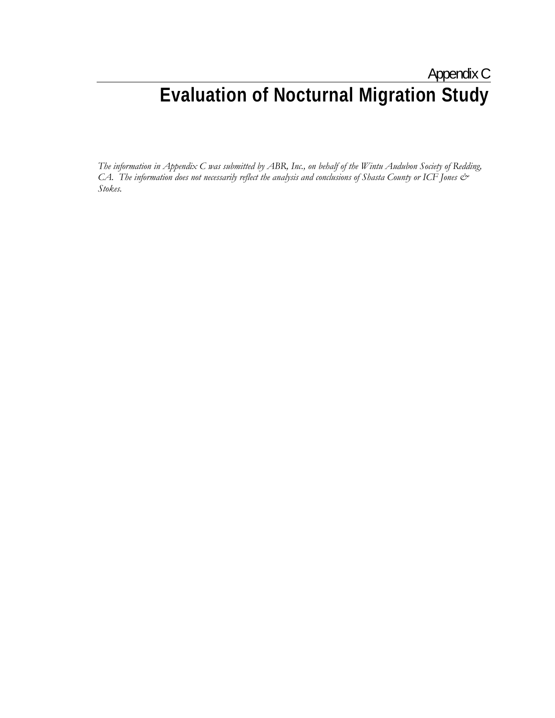# Appendix C **Evaluation of Nocturnal Migration Study**

*The information in Appendix C was submitted by ABR, Inc., on behalf of the Wintu Audubon Society of Redding, CA. The information does not necessarily reflect the analysis and conclusions of Shasta County or ICF Jones & Stokes.*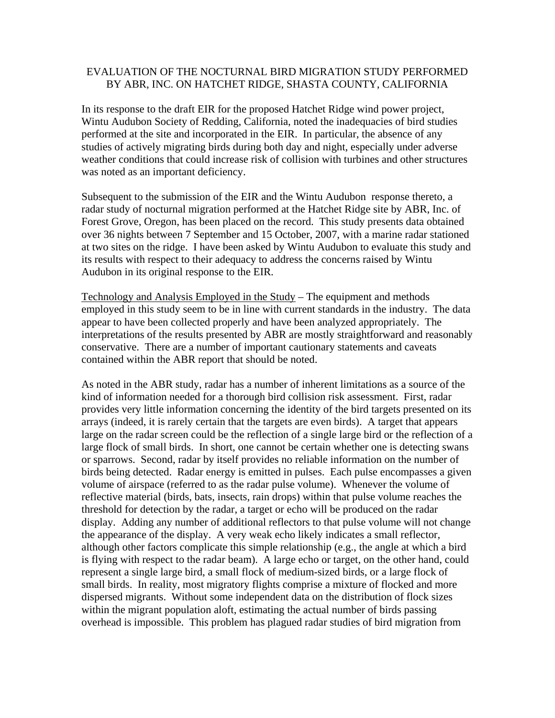# EVALUATION OF THE NOCTURNAL BIRD MIGRATION STUDY PERFORMED BY ABR, INC. ON HATCHET RIDGE, SHASTA COUNTY, CALIFORNIA

In its response to the draft EIR for the proposed Hatchet Ridge wind power project, Wintu Audubon Society of Redding, California, noted the inadequacies of bird studies performed at the site and incorporated in the EIR. In particular, the absence of any studies of actively migrating birds during both day and night, especially under adverse weather conditions that could increase risk of collision with turbines and other structures was noted as an important deficiency.

Subsequent to the submission of the EIR and the Wintu Audubon response thereto, a radar study of nocturnal migration performed at the Hatchet Ridge site by ABR, Inc. of Forest Grove, Oregon, has been placed on the record. This study presents data obtained over 36 nights between 7 September and 15 October, 2007, with a marine radar stationed at two sites on the ridge. I have been asked by Wintu Audubon to evaluate this study and its results with respect to their adequacy to address the concerns raised by Wintu Audubon in its original response to the EIR.

Technology and Analysis Employed in the Study – The equipment and methods employed in this study seem to be in line with current standards in the industry. The data appear to have been collected properly and have been analyzed appropriately. The interpretations of the results presented by ABR are mostly straightforward and reasonably conservative. There are a number of important cautionary statements and caveats contained within the ABR report that should be noted.

As noted in the ABR study, radar has a number of inherent limitations as a source of the kind of information needed for a thorough bird collision risk assessment. First, radar provides very little information concerning the identity of the bird targets presented on its arrays (indeed, it is rarely certain that the targets are even birds). A target that appears large on the radar screen could be the reflection of a single large bird or the reflection of a large flock of small birds. In short, one cannot be certain whether one is detecting swans or sparrows. Second, radar by itself provides no reliable information on the number of birds being detected. Radar energy is emitted in pulses. Each pulse encompasses a given volume of airspace (referred to as the radar pulse volume). Whenever the volume of reflective material (birds, bats, insects, rain drops) within that pulse volume reaches the threshold for detection by the radar, a target or echo will be produced on the radar display. Adding any number of additional reflectors to that pulse volume will not change the appearance of the display. A very weak echo likely indicates a small reflector, although other factors complicate this simple relationship (e.g., the angle at which a bird is flying with respect to the radar beam). A large echo or target, on the other hand, could represent a single large bird, a small flock of medium-sized birds, or a large flock of small birds. In reality, most migratory flights comprise a mixture of flocked and more dispersed migrants. Without some independent data on the distribution of flock sizes within the migrant population aloft, estimating the actual number of birds passing overhead is impossible. This problem has plagued radar studies of bird migration from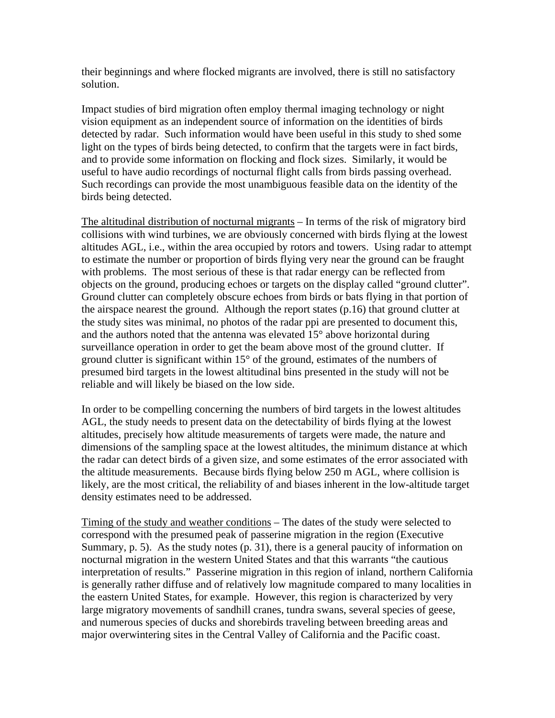their beginnings and where flocked migrants are involved, there is still no satisfactory solution.

Impact studies of bird migration often employ thermal imaging technology or night vision equipment as an independent source of information on the identities of birds detected by radar. Such information would have been useful in this study to shed some light on the types of birds being detected, to confirm that the targets were in fact birds, and to provide some information on flocking and flock sizes. Similarly, it would be useful to have audio recordings of nocturnal flight calls from birds passing overhead. Such recordings can provide the most unambiguous feasible data on the identity of the birds being detected.

The altitudinal distribution of nocturnal migrants – In terms of the risk of migratory bird collisions with wind turbines, we are obviously concerned with birds flying at the lowest altitudes AGL, i.e., within the area occupied by rotors and towers. Using radar to attempt to estimate the number or proportion of birds flying very near the ground can be fraught with problems. The most serious of these is that radar energy can be reflected from objects on the ground, producing echoes or targets on the display called "ground clutter". Ground clutter can completely obscure echoes from birds or bats flying in that portion of the airspace nearest the ground. Although the report states (p.16) that ground clutter at the study sites was minimal, no photos of the radar ppi are presented to document this, and the authors noted that the antenna was elevated 15° above horizontal during surveillance operation in order to get the beam above most of the ground clutter. If ground clutter is significant within 15° of the ground, estimates of the numbers of presumed bird targets in the lowest altitudinal bins presented in the study will not be reliable and will likely be biased on the low side.

In order to be compelling concerning the numbers of bird targets in the lowest altitudes AGL, the study needs to present data on the detectability of birds flying at the lowest altitudes, precisely how altitude measurements of targets were made, the nature and dimensions of the sampling space at the lowest altitudes, the minimum distance at which the radar can detect birds of a given size, and some estimates of the error associated with the altitude measurements. Because birds flying below 250 m AGL, where collision is likely, are the most critical, the reliability of and biases inherent in the low-altitude target density estimates need to be addressed.

Timing of the study and weather conditions – The dates of the study were selected to correspond with the presumed peak of passerine migration in the region (Executive Summary, p. 5). As the study notes (p. 31), there is a general paucity of information on nocturnal migration in the western United States and that this warrants "the cautious interpretation of results." Passerine migration in this region of inland, northern California is generally rather diffuse and of relatively low magnitude compared to many localities in the eastern United States, for example. However, this region is characterized by very large migratory movements of sandhill cranes, tundra swans, several species of geese, and numerous species of ducks and shorebirds traveling between breeding areas and major overwintering sites in the Central Valley of California and the Pacific coast.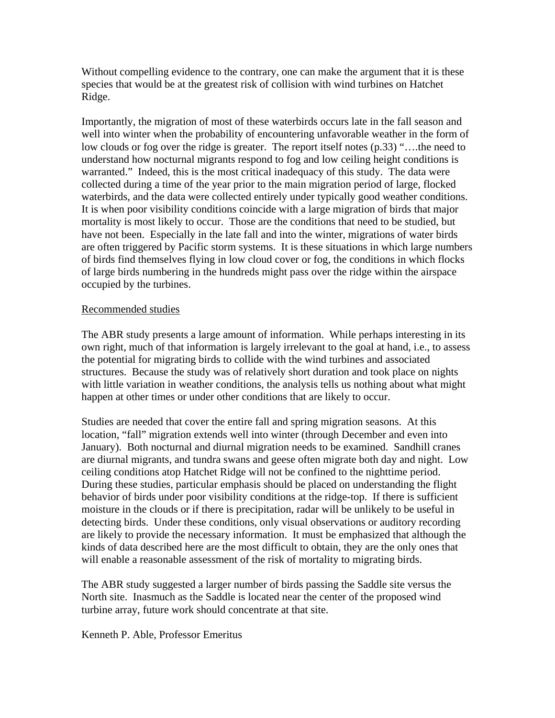Without compelling evidence to the contrary, one can make the argument that it is these species that would be at the greatest risk of collision with wind turbines on Hatchet Ridge.

Importantly, the migration of most of these waterbirds occurs late in the fall season and well into winter when the probability of encountering unfavorable weather in the form of low clouds or fog over the ridge is greater. The report itself notes (p.33) "….the need to understand how nocturnal migrants respond to fog and low ceiling height conditions is warranted." Indeed, this is the most critical inadequacy of this study. The data were collected during a time of the year prior to the main migration period of large, flocked waterbirds, and the data were collected entirely under typically good weather conditions. It is when poor visibility conditions coincide with a large migration of birds that major mortality is most likely to occur. Those are the conditions that need to be studied, but have not been. Especially in the late fall and into the winter, migrations of water birds are often triggered by Pacific storm systems. It is these situations in which large numbers of birds find themselves flying in low cloud cover or fog, the conditions in which flocks of large birds numbering in the hundreds might pass over the ridge within the airspace occupied by the turbines.

# Recommended studies

The ABR study presents a large amount of information. While perhaps interesting in its own right, much of that information is largely irrelevant to the goal at hand, i.e., to assess the potential for migrating birds to collide with the wind turbines and associated structures. Because the study was of relatively short duration and took place on nights with little variation in weather conditions, the analysis tells us nothing about what might happen at other times or under other conditions that are likely to occur.

Studies are needed that cover the entire fall and spring migration seasons. At this location, "fall" migration extends well into winter (through December and even into January). Both nocturnal and diurnal migration needs to be examined. Sandhill cranes are diurnal migrants, and tundra swans and geese often migrate both day and night. Low ceiling conditions atop Hatchet Ridge will not be confined to the nighttime period. During these studies, particular emphasis should be placed on understanding the flight behavior of birds under poor visibility conditions at the ridge-top. If there is sufficient moisture in the clouds or if there is precipitation, radar will be unlikely to be useful in detecting birds. Under these conditions, only visual observations or auditory recording are likely to provide the necessary information. It must be emphasized that although the kinds of data described here are the most difficult to obtain, they are the only ones that will enable a reasonable assessment of the risk of mortality to migrating birds.

The ABR study suggested a larger number of birds passing the Saddle site versus the North site. Inasmuch as the Saddle is located near the center of the proposed wind turbine array, future work should concentrate at that site.

Kenneth P. Able, Professor Emeritus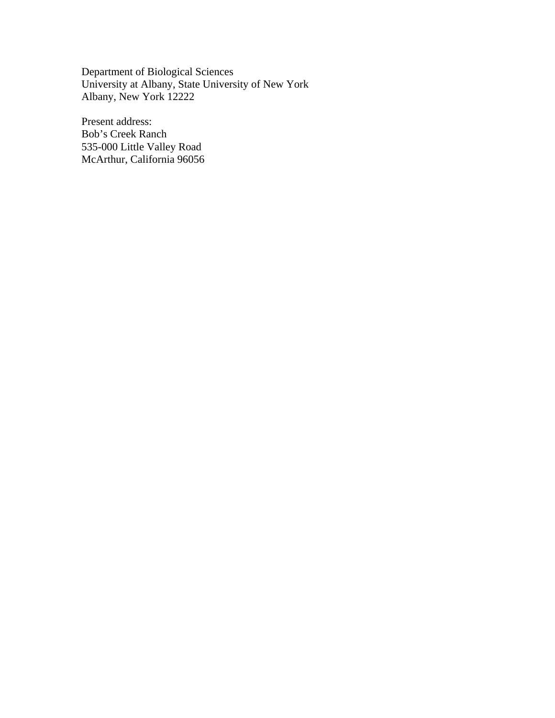Department of Biological Sciences University at Albany, State University of New York Albany, New York 12222

Present address: Bob's Creek Ranch 535-000 Little Valley Road McArthur, California 96056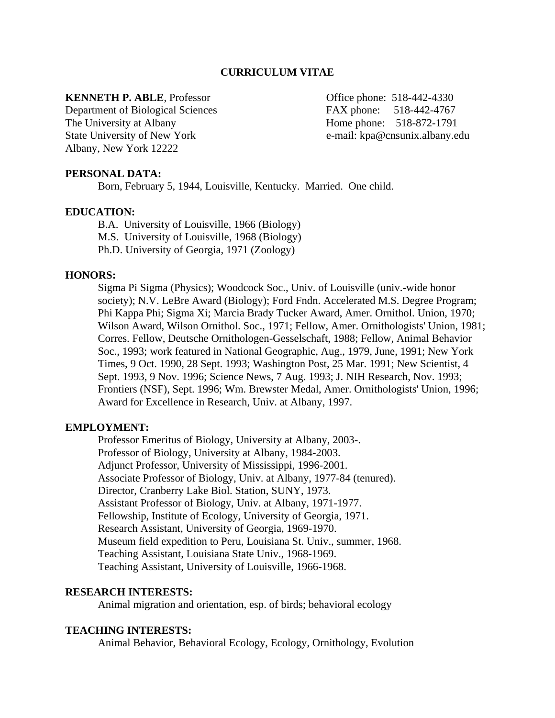## **CURRICULUM VITAE**

## **KENNETH P. ABLE**, Professor **Constanting Constanting Constanting Constanting Constanting Constanting Constanting Constanting Constanting Constanting Constanting Constanting Constanting Constanting Constanting Constanting**

Department of Biological Sciences FAX phone: 518-442-4767 The University at Albany **Home phone:** 518-872-1791 State University of New York e-mail: kpa@cnsunix.albany.edu Albany, New York 12222

## **PERSONAL DATA:**

Born, February 5, 1944, Louisville, Kentucky. Married. One child.

#### **EDUCATION:**

B.A. University of Louisville, 1966 (Biology) M.S. University of Louisville, 1968 (Biology) Ph.D. University of Georgia, 1971 (Zoology)

## **HONORS:**

Sigma Pi Sigma (Physics); Woodcock Soc., Univ. of Louisville (univ.-wide honor society); N.V. LeBre Award (Biology); Ford Fndn. Accelerated M.S. Degree Program; Phi Kappa Phi; Sigma Xi; Marcia Brady Tucker Award, Amer. Ornithol. Union, 1970; Wilson Award, Wilson Ornithol. Soc., 1971; Fellow, Amer. Ornithologists' Union, 1981; Corres. Fellow, Deutsche Ornithologen-Gesselschaft, 1988; Fellow, Animal Behavior Soc., 1993; work featured in National Geographic, Aug., 1979, June, 1991; New York Times, 9 Oct. 1990, 28 Sept. 1993; Washington Post, 25 Mar. 1991; New Scientist, 4 Sept. 1993, 9 Nov. 1996; Science News, 7 Aug. 1993; J. NIH Research, Nov. 1993; Frontiers (NSF), Sept. 1996; Wm. Brewster Medal, Amer. Ornithologists' Union, 1996; Award for Excellence in Research, Univ. at Albany, 1997.

## **EMPLOYMENT:**

Professor Emeritus of Biology, University at Albany, 2003-. Professor of Biology, University at Albany, 1984-2003. Adjunct Professor, University of Mississippi, 1996-2001. Associate Professor of Biology, Univ. at Albany, 1977-84 (tenured). Director, Cranberry Lake Biol. Station, SUNY, 1973. Assistant Professor of Biology, Univ. at Albany, 1971-1977. Fellowship, Institute of Ecology, University of Georgia, 1971. Research Assistant, University of Georgia, 1969-1970. Museum field expedition to Peru, Louisiana St. Univ., summer, 1968. Teaching Assistant, Louisiana State Univ., 1968-1969. Teaching Assistant, University of Louisville, 1966-1968.

#### **RESEARCH INTERESTS:**

Animal migration and orientation, esp. of birds; behavioral ecology

#### **TEACHING INTERESTS:**

Animal Behavior, Behavioral Ecology, Ecology, Ornithology, Evolution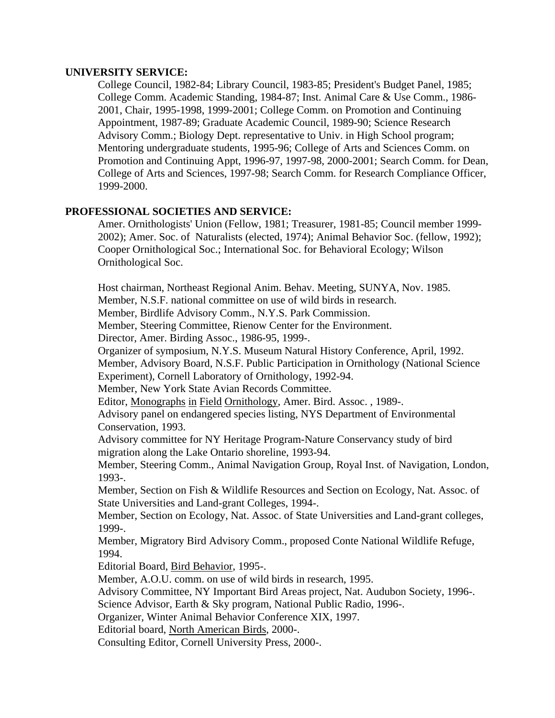# **UNIVERSITY SERVICE:**

College Council, 1982-84; Library Council, 1983-85; President's Budget Panel, 1985; College Comm. Academic Standing, 1984-87; Inst. Animal Care & Use Comm., 1986- 2001, Chair, 1995-1998, 1999-2001; College Comm. on Promotion and Continuing Appointment, 1987-89; Graduate Academic Council, 1989-90; Science Research Advisory Comm.; Biology Dept. representative to Univ. in High School program; Mentoring undergraduate students, 1995-96; College of Arts and Sciences Comm. on Promotion and Continuing Appt, 1996-97, 1997-98, 2000-2001; Search Comm. for Dean, College of Arts and Sciences, 1997-98; Search Comm. for Research Compliance Officer, 1999-2000.

# **PROFESSIONAL SOCIETIES AND SERVICE:**

Amer. Ornithologists' Union (Fellow, 1981; Treasurer, 1981-85; Council member 1999- 2002); Amer. Soc. of Naturalists (elected, 1974); Animal Behavior Soc. (fellow, 1992); Cooper Ornithological Soc.; International Soc. for Behavioral Ecology; Wilson Ornithological Soc.

Host chairman, Northeast Regional Anim. Behav. Meeting, SUNYA, Nov. 1985.

Member, N.S.F. national committee on use of wild birds in research.

Member, Birdlife Advisory Comm., N.Y.S. Park Commission.

Member, Steering Committee, Rienow Center for the Environment.

Director, Amer. Birding Assoc., 1986-95, 1999-.

Organizer of symposium, N.Y.S. Museum Natural History Conference, April, 1992.

 Member, Advisory Board, N.S.F. Public Participation in Ornithology (National Science Experiment), Cornell Laboratory of Ornithology, 1992-94.

Member, New York State Avian Records Committee.

Editor, Monographs in Field Ornithology, Amer. Bird. Assoc. , 1989-.

Advisory panel on endangered species listing, NYS Department of Environmental Conservation, 1993.

Advisory committee for NY Heritage Program-Nature Conservancy study of bird migration along the Lake Ontario shoreline, 1993-94.

Member, Steering Comm., Animal Navigation Group, Royal Inst. of Navigation, London, 1993-.

Member, Section on Fish & Wildlife Resources and Section on Ecology, Nat. Assoc. of State Universities and Land-grant Colleges, 1994-.

Member, Section on Ecology, Nat. Assoc. of State Universities and Land-grant colleges, 1999-.

Member, Migratory Bird Advisory Comm., proposed Conte National Wildlife Refuge, 1994.

Editorial Board, Bird Behavior, 1995-.

Member, A.O.U. comm. on use of wild birds in research, 1995.

Advisory Committee, NY Important Bird Areas project, Nat. Audubon Society, 1996-.

Science Advisor, Earth & Sky program, National Public Radio, 1996-.

Organizer, Winter Animal Behavior Conference XIX, 1997.

Editorial board, North American Birds, 2000-.

Consulting Editor, Cornell University Press, 2000-.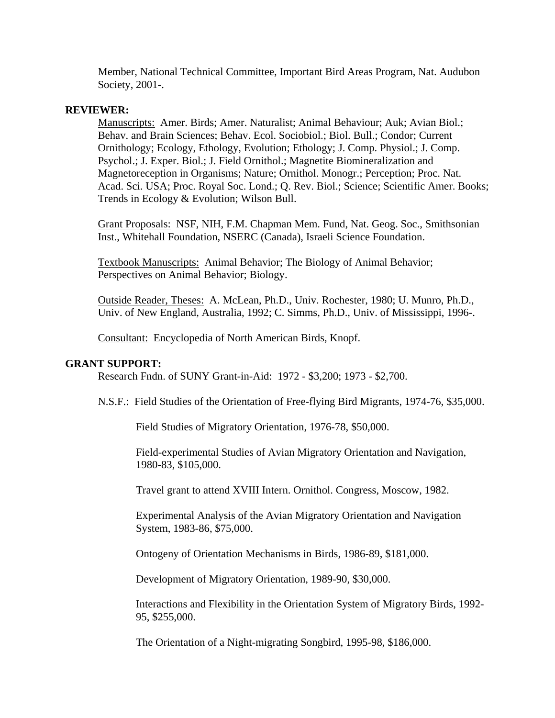Member, National Technical Committee, Important Bird Areas Program, Nat. Audubon Society, 2001-.

# **REVIEWER:**

Manuscripts: Amer. Birds; Amer. Naturalist; Animal Behaviour; Auk; Avian Biol.; Behav. and Brain Sciences; Behav. Ecol. Sociobiol.; Biol. Bull.; Condor; Current Ornithology; Ecology, Ethology, Evolution; Ethology; J. Comp. Physiol.; J. Comp. Psychol.; J. Exper. Biol.; J. Field Ornithol.; Magnetite Biomineralization and Magnetoreception in Organisms; Nature; Ornithol. Monogr.; Perception; Proc. Nat. Acad. Sci. USA; Proc. Royal Soc. Lond.; Q. Rev. Biol.; Science; Scientific Amer. Books; Trends in Ecology & Evolution; Wilson Bull.

Grant Proposals: NSF, NIH, F.M. Chapman Mem. Fund, Nat. Geog. Soc., Smithsonian Inst., Whitehall Foundation, NSERC (Canada), Israeli Science Foundation.

Textbook Manuscripts: Animal Behavior; The Biology of Animal Behavior; Perspectives on Animal Behavior; Biology.

 Outside Reader, Theses: A. McLean, Ph.D., Univ. Rochester, 1980; U. Munro, Ph.D., Univ. of New England, Australia, 1992; C. Simms, Ph.D., Univ. of Mississippi, 1996-.

Consultant: Encyclopedia of North American Birds, Knopf.

## **GRANT SUPPORT:**

Research Fndn. of SUNY Grant-in-Aid: 1972 - \$3,200; 1973 - \$2,700.

N.S.F.: Field Studies of the Orientation of Free-flying Bird Migrants, 1974-76, \$35,000.

Field Studies of Migratory Orientation, 1976-78, \$50,000.

 Field-experimental Studies of Avian Migratory Orientation and Navigation, 1980-83, \$105,000.

Travel grant to attend XVIII Intern. Ornithol. Congress, Moscow, 1982.

 Experimental Analysis of the Avian Migratory Orientation and Navigation System, 1983-86, \$75,000.

Ontogeny of Orientation Mechanisms in Birds, 1986-89, \$181,000.

Development of Migratory Orientation, 1989-90, \$30,000.

 Interactions and Flexibility in the Orientation System of Migratory Birds, 1992- 95, \$255,000.

The Orientation of a Night-migrating Songbird, 1995-98, \$186,000.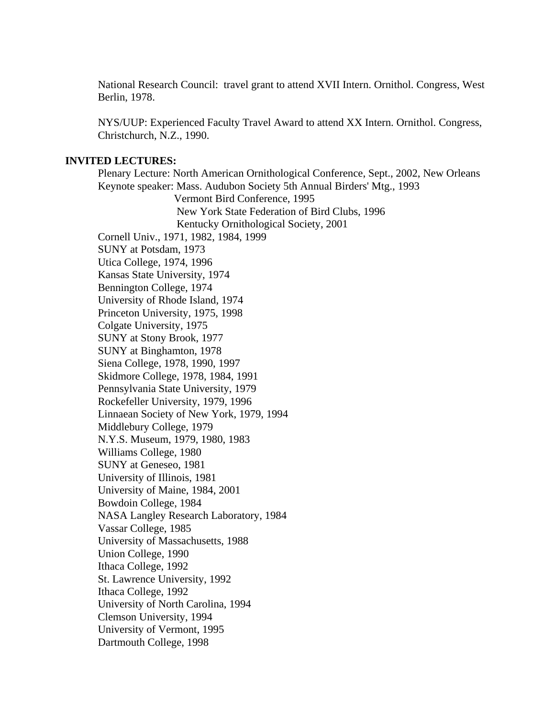National Research Council: travel grant to attend XVII Intern. Ornithol. Congress, West Berlin, 1978.

NYS/UUP: Experienced Faculty Travel Award to attend XX Intern. Ornithol. Congress, Christchurch, N.Z., 1990.

## **INVITED LECTURES:**

Plenary Lecture: North American Ornithological Conference, Sept., 2002, New Orleans Keynote speaker: Mass. Audubon Society 5th Annual Birders' Mtg., 1993 Vermont Bird Conference, 1995 New York State Federation of Bird Clubs, 1996 Kentucky Ornithological Society, 2001 Cornell Univ., 1971, 1982, 1984, 1999 SUNY at Potsdam, 1973 Utica College, 1974, 1996 Kansas State University, 1974 Bennington College, 1974 University of Rhode Island, 1974 Princeton University, 1975, 1998 Colgate University, 1975 SUNY at Stony Brook, 1977 SUNY at Binghamton, 1978 Siena College, 1978, 1990, 1997 Skidmore College, 1978, 1984, 1991 Pennsylvania State University, 1979 Rockefeller University, 1979, 1996 Linnaean Society of New York, 1979, 1994 Middlebury College, 1979 N.Y.S. Museum, 1979, 1980, 1983 Williams College, 1980 SUNY at Geneseo, 1981 University of Illinois, 1981 University of Maine, 1984, 2001 Bowdoin College, 1984 NASA Langley Research Laboratory, 1984 Vassar College, 1985 University of Massachusetts, 1988 Union College, 1990 Ithaca College, 1992 St. Lawrence University, 1992 Ithaca College, 1992 University of North Carolina, 1994 Clemson University, 1994 University of Vermont, 1995 Dartmouth College, 1998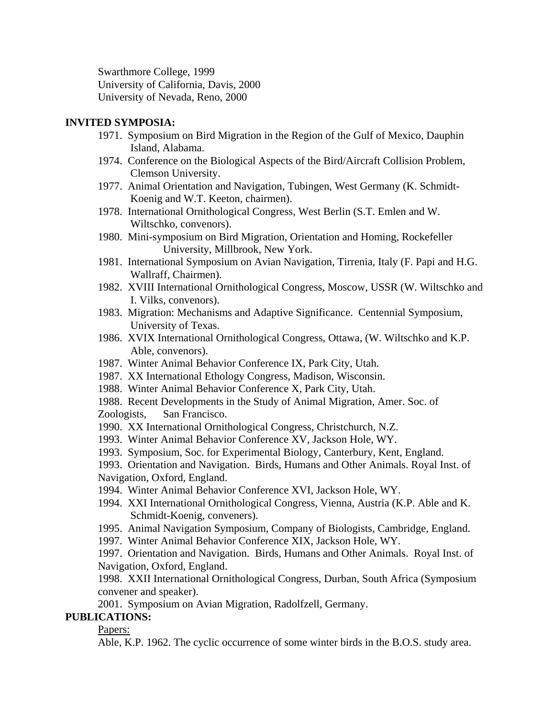Swarthmore College, 1999 University of California, Davis, 2000 University of Nevada, Reno, 2000

# **INVITED SYMPOSIA:**

- 1971. Symposium on Bird Migration in the Region of the Gulf of Mexico, Dauphin Island, Alabama.
- 1974. Conference on the Biological Aspects of the Bird/Aircraft Collision Problem, Clemson University.
- 1977. Animal Orientation and Navigation, Tubingen, West Germany (K. Schmidt-Koenig and W.T. Keeton, chairmen).
- 1978. International Ornithological Congress, West Berlin (S.T. Emlen and W. Wiltschko, convenors).
- 1980. Mini-symposium on Bird Migration, Orientation and Homing, Rockefeller University, Millbrook, New York.
- 1981. International Symposium on Avian Navigation, Tirrenia, Italy (F. Papi and H.G. Wallraff, Chairmen).
- 1982. XVIII International Ornithological Congress, Moscow, USSR (W. Wiltschko and I. Vilks, convenors).
- 1983. Migration: Mechanisms and Adaptive Significance. Centennial Symposium, University of Texas.
- 1986. XVIX International Ornithological Congress, Ottawa, (W. Wiltschko and K.P. Able, convenors).
- 1987. Winter Animal Behavior Conference IX, Park City, Utah.
- 1987. XX International Ethology Congress, Madison, Wisconsin.
- 1988. Winter Animal Behavior Conference X, Park City, Utah.

1988. Recent Developments in the Study of Animal Migration, Amer. Soc. of Zoologists, San Francisco.

- 1990. XX International Ornithological Congress, Christchurch, N.Z.
- 1993. Winter Animal Behavior Conference XV, Jackson Hole, WY.
- 1993. Symposium, Soc. for Experimental Biology, Canterbury, Kent, England.

 1993. Orientation and Navigation. Birds, Humans and Other Animals. Royal Inst. of Navigation, Oxford, England.

- 1994. Winter Animal Behavior Conference XVI, Jackson Hole, WY.
- 1994. XXI International Ornithological Congress, Vienna, Austria (K.P. Able and K. Schmidt-Koenig, conveners).
- 1995. Animal Navigation Symposium, Company of Biologists, Cambridge, England.
- 1997. Winter Animal Behavior Conference XIX, Jackson Hole, WY.

1997. Orientation and Navigation. Birds, Humans and Other Animals. Royal Inst. of Navigation, Oxford, England.

1998. XXII International Ornithological Congress, Durban, South Africa (Symposium convener and speaker).

2001. Symposium on Avian Migration, Radolfzell, Germany.

# **PUBLICATIONS:**

Papers:

Able, K.P. 1962. The cyclic occurrence of some winter birds in the B.O.S. study area.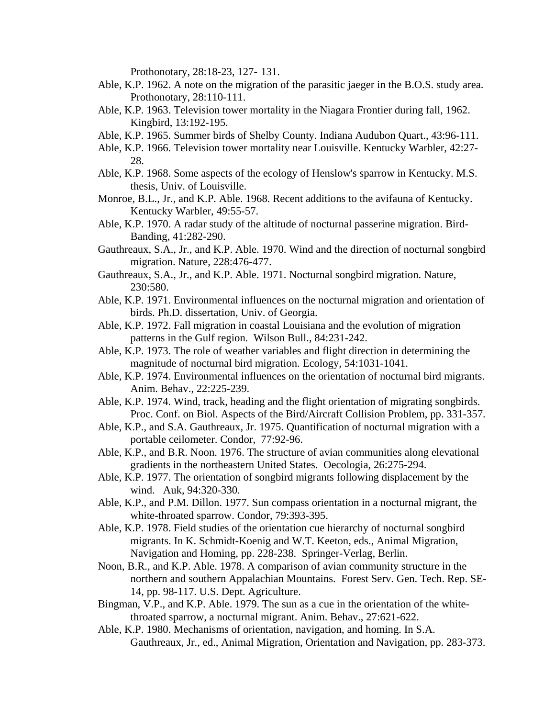Prothonotary, 28:18-23, 127- 131.

- Able, K.P. 1962. A note on the migration of the parasitic jaeger in the B.O.S. study area. Prothonotary, 28:110-111.
- Able, K.P. 1963. Television tower mortality in the Niagara Frontier during fall, 1962. Kingbird, 13:192-195.
- Able, K.P. 1965. Summer birds of Shelby County. Indiana Audubon Quart., 43:96-111.
- Able, K.P. 1966. Television tower mortality near Louisville. Kentucky Warbler, 42:27- 28.
- Able, K.P. 1968. Some aspects of the ecology of Henslow's sparrow in Kentucky. M.S. thesis, Univ. of Louisville.
- Monroe, B.L., Jr., and K.P. Able. 1968. Recent additions to the avifauna of Kentucky. Kentucky Warbler, 49:55-57.
- Able, K.P. 1970. A radar study of the altitude of nocturnal passerine migration. Bird-Banding, 41:282-290.
- Gauthreaux, S.A., Jr., and K.P. Able. 1970. Wind and the direction of nocturnal songbird migration. Nature, 228:476-477.
- Gauthreaux, S.A., Jr., and K.P. Able. 1971. Nocturnal songbird migration. Nature, 230:580.
- Able, K.P. 1971. Environmental influences on the nocturnal migration and orientation of birds. Ph.D. dissertation, Univ. of Georgia.
- Able, K.P. 1972. Fall migration in coastal Louisiana and the evolution of migration patterns in the Gulf region. Wilson Bull., 84:231-242.
- Able, K.P. 1973. The role of weather variables and flight direction in determining the magnitude of nocturnal bird migration. Ecology, 54:1031-1041.
- Able, K.P. 1974. Environmental influences on the orientation of nocturnal bird migrants. Anim. Behav., 22:225-239.
- Able, K.P. 1974. Wind, track, heading and the flight orientation of migrating songbirds. Proc. Conf. on Biol. Aspects of the Bird/Aircraft Collision Problem, pp. 331-357.
- Able, K.P., and S.A. Gauthreaux, Jr. 1975. Quantification of nocturnal migration with a portable ceilometer. Condor, 77:92-96.
- Able, K.P., and B.R. Noon. 1976. The structure of avian communities along elevational gradients in the northeastern United States. Oecologia, 26:275-294.
- Able, K.P. 1977. The orientation of songbird migrants following displacement by the wind. Auk, 94:320-330.
- Able, K.P., and P.M. Dillon. 1977. Sun compass orientation in a nocturnal migrant, the white-throated sparrow. Condor, 79:393-395.
- Able, K.P. 1978. Field studies of the orientation cue hierarchy of nocturnal songbird migrants. In K. Schmidt-Koenig and W.T. Keeton, eds., Animal Migration, Navigation and Homing, pp. 228-238. Springer-Verlag, Berlin.
- Noon, B.R., and K.P. Able. 1978. A comparison of avian community structure in the northern and southern Appalachian Mountains. Forest Serv. Gen. Tech. Rep. SE-14, pp. 98-117. U.S. Dept. Agriculture.
- Bingman, V.P., and K.P. Able. 1979. The sun as a cue in the orientation of the whitethroated sparrow, a nocturnal migrant. Anim. Behav., 27:621-622.
- Able, K.P. 1980. Mechanisms of orientation, navigation, and homing. In S.A. Gauthreaux, Jr., ed., Animal Migration, Orientation and Navigation, pp. 283-373.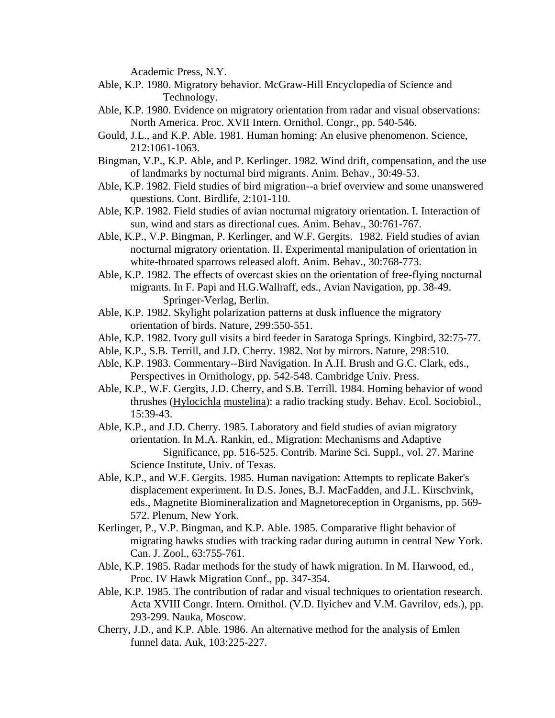Academic Press, N.Y.

- Able, K.P. 1980. Migratory behavior. McGraw-Hill Encyclopedia of Science and Technology.
- Able, K.P. 1980. Evidence on migratory orientation from radar and visual observations: North America. Proc. XVII Intern. Ornithol. Congr., pp. 540-546.
- Gould, J.L., and K.P. Able. 1981. Human homing: An elusive phenomenon. Science, 212:1061-1063.
- Bingman, V.P., K.P. Able, and P. Kerlinger. 1982. Wind drift, compensation, and the use of landmarks by nocturnal bird migrants. Anim. Behav., 30:49-53.
- Able, K.P. 1982. Field studies of bird migration--a brief overview and some unanswered questions. Cont. Birdlife, 2:101-110.
- Able, K.P. 1982. Field studies of avian nocturnal migratory orientation. I. Interaction of sun, wind and stars as directional cues. Anim. Behav., 30:761-767.
- Able, K.P., V.P. Bingman, P. Kerlinger, and W.F. Gergits. 1982. Field studies of avian nocturnal migratory orientation. II. Experimental manipulation of orientation in white-throated sparrows released aloft. Anim. Behav., 30:768-773.
- Able, K.P. 1982. The effects of overcast skies on the orientation of free-flying nocturnal migrants. In F. Papi and H.G.Wallraff, eds., Avian Navigation, pp. 38-49. Springer-Verlag, Berlin.
- Able, K.P. 1982. Skylight polarization patterns at dusk influence the migratory orientation of birds. Nature, 299:550-551.
- Able, K.P. 1982. Ivory gull visits a bird feeder in Saratoga Springs. Kingbird, 32:75-77.
- Able, K.P., S.B. Terrill, and J.D. Cherry. 1982. Not by mirrors. Nature, 298:510.
- Able, K.P. 1983. Commentary--Bird Navigation. In A.H. Brush and G.C. Clark, eds., Perspectives in Ornithology, pp. 542-548. Cambridge Univ. Press.
- Able, K.P., W.F. Gergits, J.D. Cherry, and S.B. Terrill. 1984. Homing behavior of wood thrushes (Hylocichla mustelina): a radio tracking study. Behav. Ecol. Sociobiol., 15:39-43.
- Able, K.P., and J.D. Cherry. 1985. Laboratory and field studies of avian migratory orientation. In M.A. Rankin, ed., Migration: Mechanisms and Adaptive Significance, pp. 516-525. Contrib. Marine Sci. Suppl., vol. 27. Marine Science Institute, Univ. of Texas.
- Able, K.P., and W.F. Gergits. 1985. Human navigation: Attempts to replicate Baker's displacement experiment. In D.S. Jones, B.J. MacFadden, and J.L. Kirschvink, eds., Magnetite Biomineralization and Magnetoreception in Organisms, pp. 569- 572. Plenum, New York.
- Kerlinger, P., V.P. Bingman, and K.P. Able. 1985. Comparative flight behavior of migrating hawks studies with tracking radar during autumn in central New York. Can. J. Zool., 63:755-761.
- Able, K.P. 1985. Radar methods for the study of hawk migration. In M. Harwood, ed., Proc. IV Hawk Migration Conf., pp. 347-354.
- Able, K.P. 1985. The contribution of radar and visual techniques to orientation research. Acta XVIII Congr. Intern. Ornithol. (V.D. Ilyichev and V.M. Gavrilov, eds.), pp. 293-299. Nauka, Moscow.
- Cherry, J.D., and K.P. Able. 1986. An alternative method for the analysis of Emlen funnel data. Auk, 103:225-227.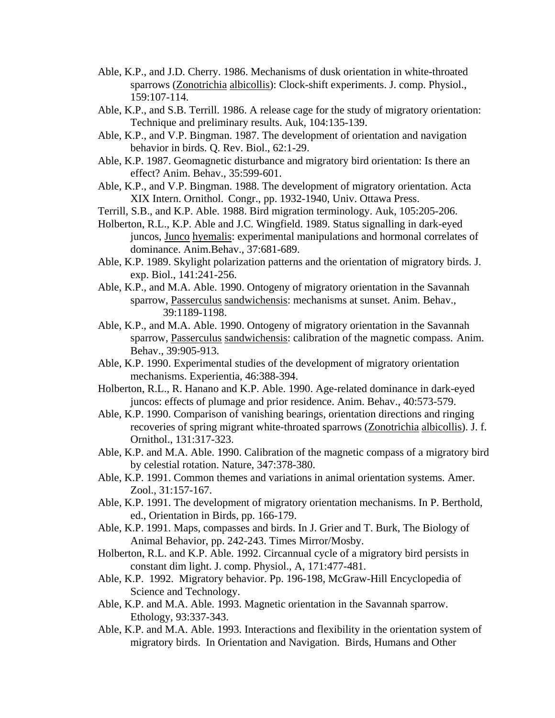- Able, K.P., and J.D. Cherry. 1986. Mechanisms of dusk orientation in white-throated sparrows (Zonotrichia albicollis): Clock-shift experiments. J. comp. Physiol., 159:107-114.
- Able, K.P., and S.B. Terrill. 1986. A release cage for the study of migratory orientation: Technique and preliminary results. Auk, 104:135-139.
- Able, K.P., and V.P. Bingman. 1987. The development of orientation and navigation behavior in birds. Q. Rev. Biol., 62:1-29.
- Able, K.P. 1987. Geomagnetic disturbance and migratory bird orientation: Is there an effect? Anim. Behav., 35:599-601.
- Able, K.P., and V.P. Bingman. 1988. The development of migratory orientation. Acta XIX Intern. Ornithol. Congr., pp. 1932-1940, Univ. Ottawa Press.
- Terrill, S.B., and K.P. Able. 1988. Bird migration terminology. Auk, 105:205-206.
- Holberton, R.L., K.P. Able and J.C. Wingfield. 1989. Status signalling in dark-eyed juncos, Junco hyemalis: experimental manipulations and hormonal correlates of dominance. Anim.Behav., 37:681-689.
- Able, K.P. 1989. Skylight polarization patterns and the orientation of migratory birds. J. exp. Biol., 141:241-256.
- Able, K.P., and M.A. Able. 1990. Ontogeny of migratory orientation in the Savannah sparrow, Passerculus sandwichensis: mechanisms at sunset. Anim. Behav., 39:1189-1198.
- Able, K.P., and M.A. Able. 1990. Ontogeny of migratory orientation in the Savannah sparrow, Passerculus sandwichensis: calibration of the magnetic compass. Anim. Behav., 39:905-913.
- Able, K.P. 1990. Experimental studies of the development of migratory orientation mechanisms. Experientia, 46:388-394.
- Holberton, R.L., R. Hanano and K.P. Able. 1990. Age-related dominance in dark-eyed juncos: effects of plumage and prior residence. Anim. Behav., 40:573-579.
- Able, K.P. 1990. Comparison of vanishing bearings, orientation directions and ringing recoveries of spring migrant white-throated sparrows (Zonotrichia albicollis). J. f. Ornithol., 131:317-323.
- Able, K.P. and M.A. Able. 1990. Calibration of the magnetic compass of a migratory bird by celestial rotation. Nature, 347:378-380.
- Able, K.P. 1991. Common themes and variations in animal orientation systems. Amer. Zool., 31:157-167.
- Able, K.P. 1991. The development of migratory orientation mechanisms. In P. Berthold, ed., Orientation in Birds, pp. 166-179.
- Able, K.P. 1991. Maps, compasses and birds. In J. Grier and T. Burk, The Biology of Animal Behavior, pp. 242-243. Times Mirror/Mosby.
- Holberton, R.L. and K.P. Able. 1992. Circannual cycle of a migratory bird persists in constant dim light. J. comp. Physiol., A, 171:477-481.
- Able, K.P. 1992. Migratory behavior. Pp. 196-198, McGraw-Hill Encyclopedia of Science and Technology.
- Able, K.P. and M.A. Able. 1993. Magnetic orientation in the Savannah sparrow. Ethology, 93:337-343.
- Able, K.P. and M.A. Able. 1993. Interactions and flexibility in the orientation system of migratory birds. In Orientation and Navigation. Birds, Humans and Other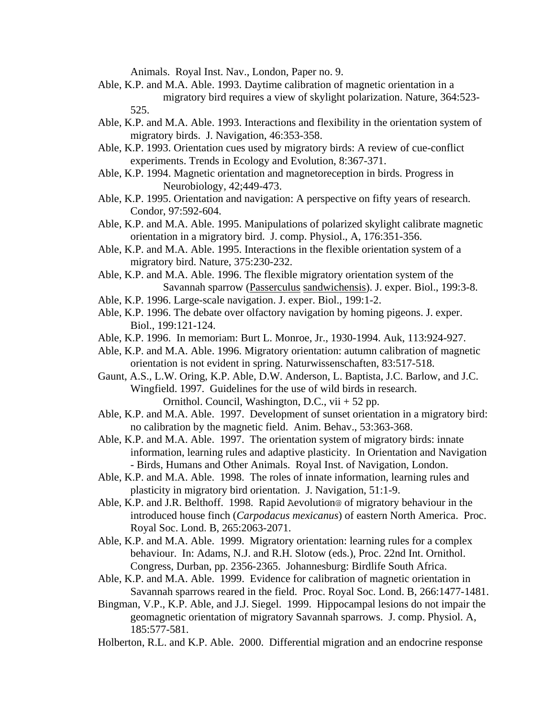Animals. Royal Inst. Nav., London, Paper no. 9.

- Able, K.P. and M.A. Able. 1993. Daytime calibration of magnetic orientation in a migratory bird requires a view of skylight polarization. Nature, 364:523- 525.
- Able, K.P. and M.A. Able. 1993. Interactions and flexibility in the orientation system of migratory birds. J. Navigation, 46:353-358.
- Able, K.P. 1993. Orientation cues used by migratory birds: A review of cue-conflict experiments. Trends in Ecology and Evolution, 8:367-371.
- Able, K.P. 1994. Magnetic orientation and magnetoreception in birds. Progress in Neurobiology, 42;449-473.
- Able, K.P. 1995. Orientation and navigation: A perspective on fifty years of research. Condor, 97:592-604.
- Able, K.P. and M.A. Able. 1995. Manipulations of polarized skylight calibrate magnetic orientation in a migratory bird. J. comp. Physiol., A, 176:351-356.
- Able, K.P. and M.A. Able. 1995. Interactions in the flexible orientation system of a migratory bird. Nature, 375:230-232.
- Able, K.P. and M.A. Able. 1996. The flexible migratory orientation system of the Savannah sparrow (Passerculus sandwichensis). J. exper. Biol., 199:3-8.
- Able, K.P. 1996. Large-scale navigation. J. exper. Biol., 199:1-2.
- Able, K.P. 1996. The debate over olfactory navigation by homing pigeons. J. exper. Biol., 199:121-124.
- Able, K.P. 1996. In memoriam: Burt L. Monroe, Jr., 1930-1994. Auk, 113:924-927.
- Able, K.P. and M.A. Able. 1996. Migratory orientation: autumn calibration of magnetic orientation is not evident in spring. Naturwissenschaften, 83:517-518.
- Gaunt, A.S., L.W. Oring, K.P. Able, D.W. Anderson, L. Baptista, J.C. Barlow, and J.C. Wingfield. 1997. Guidelines for the use of wild birds in research. Ornithol. Council, Washington, D.C., vii + 52 pp.
- Able, K.P. and M.A. Able. 1997. Development of sunset orientation in a migratory bird: no calibration by the magnetic field. Anim. Behav., 53:363-368.
- Able, K.P. and M.A. Able. 1997. The orientation system of migratory birds: innate information, learning rules and adaptive plasticity. In Orientation and Navigation - Birds, Humans and Other Animals. Royal Inst. of Navigation, London.
- Able, K.P. and M.A. Able. 1998. The roles of innate information, learning rules and plasticity in migratory bird orientation. J. Navigation, 51:1-9.
- Able, K.P. and J.R. Belthoff. 1998. Rapid Aevolution@ of migratory behaviour in the introduced house finch (*Carpodacus mexicanus*) of eastern North America. Proc. Royal Soc. Lond. B, 265:2063-2071.
- Able, K.P. and M.A. Able. 1999. Migratory orientation: learning rules for a complex behaviour. In: Adams, N.J. and R.H. Slotow (eds.), Proc. 22nd Int. Ornithol. Congress, Durban, pp. 2356-2365. Johannesburg: Birdlife South Africa.
- Able, K.P. and M.A. Able. 1999. Evidence for calibration of magnetic orientation in Savannah sparrows reared in the field. Proc. Royal Soc. Lond. B, 266:1477-1481.
- Bingman, V.P., K.P. Able, and J.J. Siegel. 1999. Hippocampal lesions do not impair the geomagnetic orientation of migratory Savannah sparrows. J. comp. Physiol. A, 185:577-581.
- Holberton, R.L. and K.P. Able. 2000. Differential migration and an endocrine response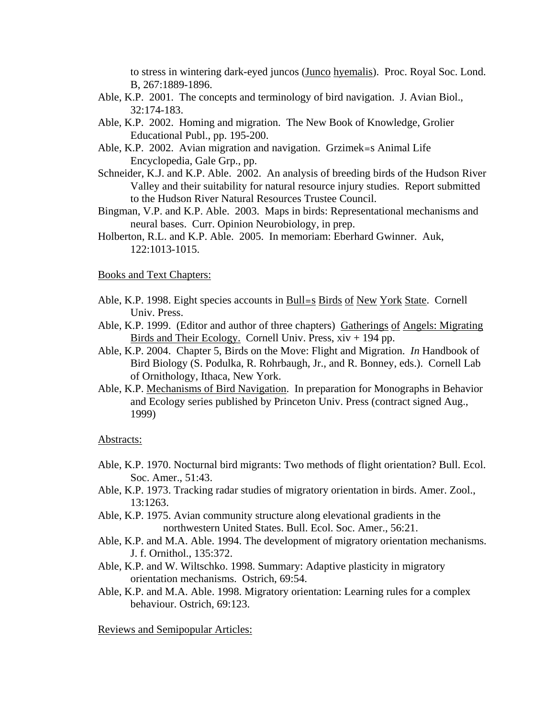to stress in wintering dark-eyed juncos (Junco hyemalis). Proc. Royal Soc. Lond. B, 267:1889-1896.

- Able, K.P. 2001. The concepts and terminology of bird navigation. J. Avian Biol., 32:174-183.
- Able, K.P. 2002. Homing and migration. The New Book of Knowledge, Grolier Educational Publ., pp. 195-200.
- Able, K.P. 2002. Avian migration and navigation. Grzimek=s Animal Life Encyclopedia, Gale Grp., pp.
- Schneider, K.J. and K.P. Able. 2002. An analysis of breeding birds of the Hudson River Valley and their suitability for natural resource injury studies. Report submitted to the Hudson River Natural Resources Trustee Council.
- Bingman, V.P. and K.P. Able. 2003. Maps in birds: Representational mechanisms and neural bases. Curr. Opinion Neurobiology, in prep.
- Holberton, R.L. and K.P. Able. 2005. In memoriam: Eberhard Gwinner. Auk, 122:1013-1015.

#### Books and Text Chapters:

- Able, K.P. 1998. Eight species accounts in Bull=s Birds of New York State. Cornell Univ. Press.
- Able, K.P. 1999. (Editor and author of three chapters) Gatherings of Angels: Migrating Birds and Their Ecology. Cornell Univ. Press,  $xiv + 194$  pp.
- Able, K.P. 2004. Chapter 5, Birds on the Move: Flight and Migration. *In* Handbook of Bird Biology (S. Podulka, R. Rohrbaugh, Jr., and R. Bonney, eds.). Cornell Lab of Ornithology, Ithaca, New York.
- Able, K.P. Mechanisms of Bird Navigation. In preparation for Monographs in Behavior and Ecology series published by Princeton Univ. Press (contract signed Aug., 1999)

#### Abstracts:

- Able, K.P. 1970. Nocturnal bird migrants: Two methods of flight orientation? Bull. Ecol. Soc. Amer., 51:43.
- Able, K.P. 1973. Tracking radar studies of migratory orientation in birds. Amer. Zool., 13:1263.
- Able, K.P. 1975. Avian community structure along elevational gradients in the northwestern United States. Bull. Ecol. Soc. Amer., 56:21.
- Able, K.P. and M.A. Able. 1994. The development of migratory orientation mechanisms. J. f. Ornithol., 135:372.
- Able, K.P. and W. Wiltschko. 1998. Summary: Adaptive plasticity in migratory orientation mechanisms. Ostrich, 69:54.
- Able, K.P. and M.A. Able. 1998. Migratory orientation: Learning rules for a complex behaviour. Ostrich, 69:123.

Reviews and Semipopular Articles: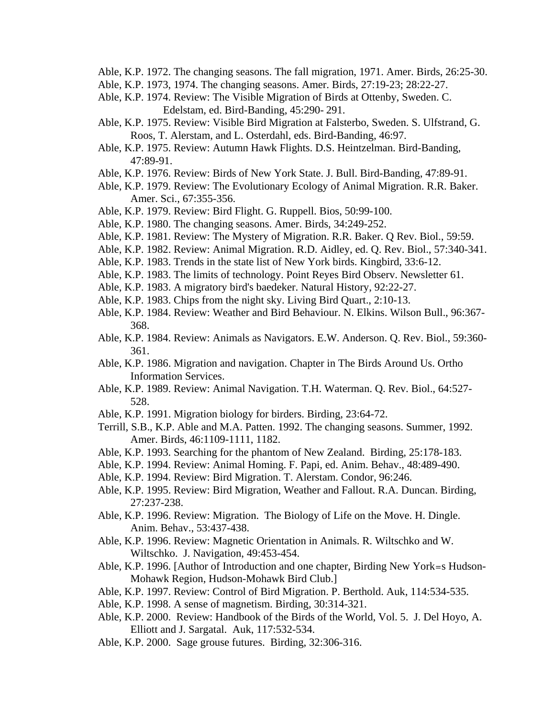- Able, K.P. 1972. The changing seasons. The fall migration, 1971. Amer. Birds, 26:25-30.
- Able, K.P. 1973, 1974. The changing seasons. Amer. Birds, 27:19-23; 28:22-27.
- Able, K.P. 1974. Review: The Visible Migration of Birds at Ottenby, Sweden. C. Edelstam, ed. Bird-Banding, 45:290- 291.
- Able, K.P. 1975. Review: Visible Bird Migration at Falsterbo, Sweden. S. Ulfstrand, G. Roos, T. Alerstam, and L. Osterdahl, eds. Bird-Banding, 46:97.
- Able, K.P. 1975. Review: Autumn Hawk Flights. D.S. Heintzelman. Bird-Banding, 47:89-91.
- Able, K.P. 1976. Review: Birds of New York State. J. Bull. Bird-Banding, 47:89-91.
- Able, K.P. 1979. Review: The Evolutionary Ecology of Animal Migration. R.R. Baker. Amer. Sci., 67:355-356.
- Able, K.P. 1979. Review: Bird Flight. G. Ruppell. Bios, 50:99-100.
- Able, K.P. 1980. The changing seasons. Amer. Birds, 34:249-252.
- Able, K.P. 1981. Review: The Mystery of Migration. R.R. Baker. Q Rev. Biol., 59:59.
- Able, K.P. 1982. Review: Animal Migration. R.D. Aidley, ed. Q. Rev. Biol., 57:340-341.
- Able, K.P. 1983. Trends in the state list of New York birds. Kingbird, 33:6-12.
- Able, K.P. 1983. The limits of technology. Point Reyes Bird Observ. Newsletter 61.
- Able, K.P. 1983. A migratory bird's baedeker. Natural History, 92:22-27.
- Able, K.P. 1983. Chips from the night sky. Living Bird Quart., 2:10-13.
- Able, K.P. 1984. Review: Weather and Bird Behaviour. N. Elkins. Wilson Bull., 96:367- 368.
- Able, K.P. 1984. Review: Animals as Navigators. E.W. Anderson. Q. Rev. Biol., 59:360- 361.
- Able, K.P. 1986. Migration and navigation. Chapter in The Birds Around Us. Ortho Information Services.
- Able, K.P. 1989. Review: Animal Navigation. T.H. Waterman. Q. Rev. Biol., 64:527- 528.
- Able, K.P. 1991. Migration biology for birders. Birding, 23:64-72.
- Terrill, S.B., K.P. Able and M.A. Patten. 1992. The changing seasons. Summer, 1992. Amer. Birds, 46:1109-1111, 1182.
- Able, K.P. 1993. Searching for the phantom of New Zealand. Birding, 25:178-183.
- Able, K.P. 1994. Review: Animal Homing. F. Papi, ed. Anim. Behav., 48:489-490.
- Able, K.P. 1994. Review: Bird Migration. T. Alerstam. Condor, 96:246.
- Able, K.P. 1995. Review: Bird Migration, Weather and Fallout. R.A. Duncan. Birding, 27:237-238.
- Able, K.P. 1996. Review: Migration. The Biology of Life on the Move. H. Dingle. Anim. Behav., 53:437-438.
- Able, K.P. 1996. Review: Magnetic Orientation in Animals. R. Wiltschko and W. Wiltschko. J. Navigation, 49:453-454.
- Able, K.P. 1996. [Author of Introduction and one chapter, Birding New York=s Hudson-Mohawk Region, Hudson-Mohawk Bird Club.]
- Able, K.P. 1997. Review: Control of Bird Migration. P. Berthold. Auk, 114:534-535.
- Able, K.P. 1998. A sense of magnetism. Birding, 30:314-321.
- Able, K.P. 2000. Review: Handbook of the Birds of the World, Vol. 5. J. Del Hoyo, A. Elliott and J. Sargatal. Auk, 117:532-534.
- Able, K.P. 2000. Sage grouse futures. Birding, 32:306-316.